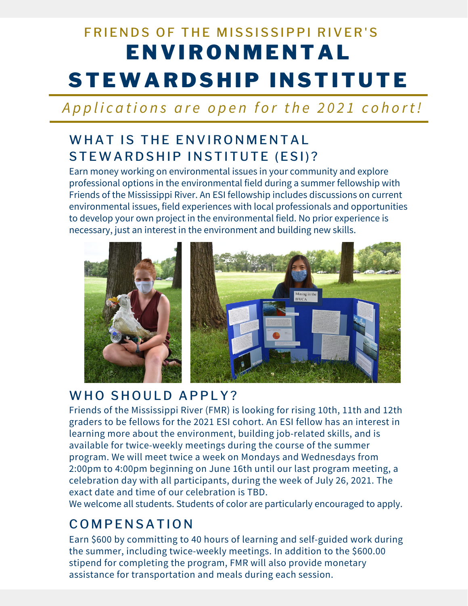# **ENVIRONMENTAL** STEWARDSHIP INSTITUTE FRIENDS OF THE MISSISSIPPI RIVER'S

# Applications are open for the 2021 cohort!

# WHAT IS THE ENVIRONMENTAL STEWARD SHIP IN STITUTE (ESI)?

Earn money working on environmental issues in your community and explore professional options in the environmental field during a summer fellowship with Friends of the Mississippi River. An ESI fellowship includes discussions on current environmental issues, field experiences with local professionals and opportunities to develop your own project in the environmental field. No prior experience is necessary, just an interest in the environment and building new skills.



#### WHO SHOULD APPLY?

Friends of the Mississippi River (FMR) is looking for rising 10th, 11th and 12th graders to be fellows for the 2021 ESI cohort. An ESI fellow has an interest in learning more about the environment, building job-related skills, and is available for twice-weekly meetings during the course of the summer program. We will meet twice a week on Mondays and Wednesdays from 2:00pm to 4:00pm beginning on June 16th until our last program meeting, a celebration day with all participants, during the week of July 26, 2021. The exact date and time of our celebration is TBD.

We welcome all students. Students of color are particularly encouraged to apply.

# **COMPENSATION**

Earn \$600 by committing to 40 hours of learning and self-guided work during the summer, including twice-weekly meetings. In addition to the \$600.00 stipend for completing the program, FMR will also provide monetary assistance for transportation and meals during each session.